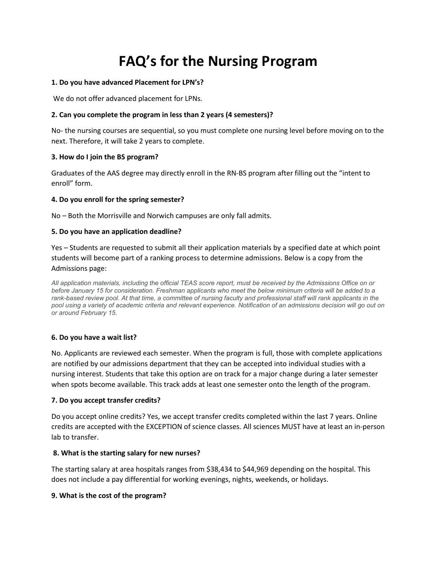# **FAQ's for the Nursing Program**

#### **1. Do you have advanced Placement for LPN's?**

We do not offer advanced placement for LPNs.

## **2. Can you complete the program in less than 2 years (4 semesters)?**

No- the nursing courses are sequential, so you must complete one nursing level before moving on to the next. Therefore, it will take 2 years to complete.

## **3. How do I join the BS program?**

Graduates of the AAS degree may directly enroll in the RN-BS program after filling out the "intent to enroll" form.

## **4. Do you enroll for the spring semester?**

No – Both the Morrisville and Norwich campuses are only fall admits.

#### **5. Do you have an application deadline?**

Yes – Students are requested to submit all their application materials by a specified date at which point students will become part of a ranking process to determine admissions. Below is a copy from the Admissions page:

*All application materials, including the official TEAS score report, must be received by the Admissions Office on or before January 15 for consideration. Freshman applicants who meet the below minimum criteria will be added to a*  rank-based review pool. At that time, a committee of nursing faculty and professional staff will rank applicants in the *pool using a variety of academic criteria and relevant experience. Notification of an admissions decision will go out on or around February 15.*

## **6. Do you have a wait list?**

No. Applicants are reviewed each semester. When the program is full, those with complete applications are notified by our admissions department that they can be accepted into individual studies with a nursing interest. Students that take this option are on track for a major change during a later semester when spots become available. This track adds at least one semester onto the length of the program.

## **7. Do you accept transfer credits?**

Do you accept online credits? Yes, we accept transfer credits completed within the last 7 years. Online credits are accepted with the EXCEPTION of science classes. All sciences MUST have at least an in-person lab to transfer.

## **8. What is the starting salary for new nurses?**

The starting salary at area hospitals ranges from \$38,434 to \$44,969 depending on the hospital. This does not include a pay differential for working evenings, nights, weekends, or holidays.

#### **9. What is the cost of the program?**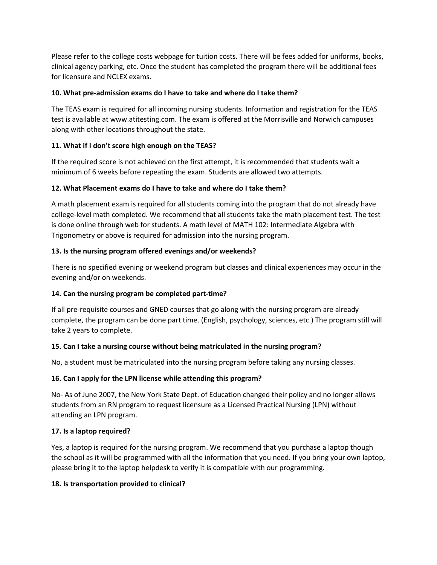Please refer to the college costs webpage for tuition costs. There will be fees added for uniforms, books, clinical agency parking, etc. Once the student has completed the program there will be additional fees for licensure and NCLEX exams.

## **10. What pre-admission exams do I have to take and where do I take them?**

The TEAS exam is required for all incoming nursing students. Information and registration for the TEAS test is available at www.atitesting.com. The exam is offered at the Morrisville and Norwich campuses along with other locations throughout the state.

## **11. What if I don't score high enough on the TEAS?**

If the required score is not achieved on the first attempt, it is recommended that students wait a minimum of 6 weeks before repeating the exam. Students are allowed two attempts.

## **12. What Placement exams do I have to take and where do I take them?**

A math placement exam is required for all students coming into the program that do not already have college-level math completed. We recommend that all students take the math placement test. The test is done online through web for students. A math level of MATH 102: Intermediate Algebra with Trigonometry or above is required for admission into the nursing program.

## **13. Is the nursing program offered evenings and/or weekends?**

There is no specified evening or weekend program but classes and clinical experiences may occur in the evening and/or on weekends.

## **14. Can the nursing program be completed part-time?**

If all pre-requisite courses and GNED courses that go along with the nursing program are already complete, the program can be done part time. (English, psychology, sciences, etc.) The program still will take 2 years to complete.

## **15. Can I take a nursing course without being matriculated in the nursing program?**

No, a student must be matriculated into the nursing program before taking any nursing classes.

## **16. Can I apply for the LPN license while attending this program?**

No- As of June 2007, the New York State Dept. of Education changed their policy and no longer allows students from an RN program to request licensure as a Licensed Practical Nursing (LPN) without attending an LPN program.

## **17. Is a laptop required?**

Yes, a laptop is required for the nursing program. We recommend that you purchase a laptop though the school as it will be programmed with all the information that you need. If you bring your own laptop, please bring it to the laptop helpdesk to verify it is compatible with our programming.

## **18. Is transportation provided to clinical?**